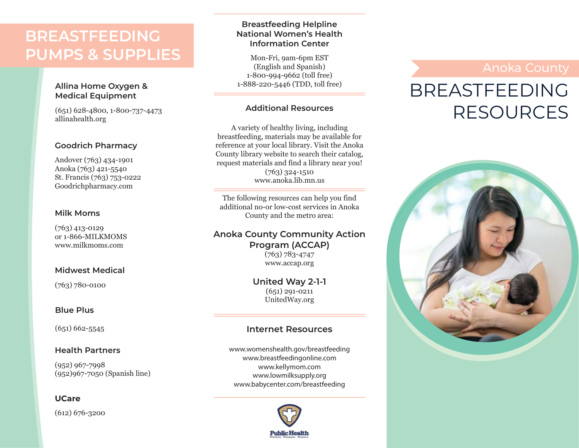## **BREASTFEEDING PUMPS & SUPPLIES**

### **Allina Home Oxygen & Medical Equipment**

(651) 628-4800, 1-800-737-4473 allinahealth.org

### **Goodrich Pharmacy**

Andover (763) 434-1901 Anoka (763) 421-5540 St. Francis (763) 753-0222 Goodrichpharmacy.com

### **Milk Moms**

(763) 413-0129 or 1-866-MILKMOMS www.milkmoms.com

### **Midwest Medical**

(763) 780-0100

### **Blue Plus**

(651) 662-5545

### **Health Partners**

(952) 967-7998 (952)967-7050 (Spanish line)

### **UCare**

(612) 676-3200

### **Breastfeeding Helpline National Women's Health Information Center**

Mon-Fri, 9am-6pm EST (English and Spanish) 1-800-994-9662 (toll free) 1-888-220-5446 (TDD, toll free)

### **Additional Resources**

A variety of healthy living, including breastfeeding, materials may be available for reference at your local library. Visit the Anoka County library website to search their catalog, request materials and find a library near you! (763) 324-1510 www.anoka.lib.mn.us

The following resources can help you find additional no-or low-cost services in Anoka County and the metro area:

### **Anoka County Community Action Program (ACCAP)**

(763) 783-4747 www.accap.org

**United Way 2-1-1** (651) 291-0211 UnitedWay.org

### **Internet Resources**

www.womenshealth.gov/breastfeeding www.breastfeedingonline.com www.kellymom.com www.lowmilksupply.org www.babycenter.com/breastfeeding



# BREASTFEEDING RESOURCES